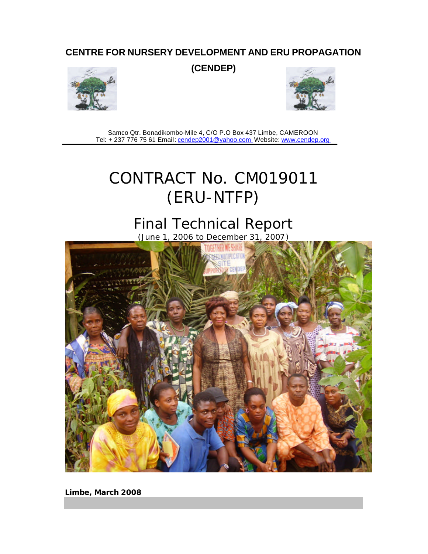## **CENTRE FOR NURSERY DEVELOPMENT AND ERU PROPAGATION**

**(CENDEP)** 





Samco Qtr. Bonadikombo-Mile 4, C/O P.O Box 437 Limbe, CAMEROON Tel: + 237 776 75 61 Email: cendep2001@yahoo.com Website: www.cendep.org

# CONTRACT No. CM019011 (ERU-NTFP)

# Final Technical Report

(June 1, 2006 to December 31, 2007)



**Limbe, March 2008**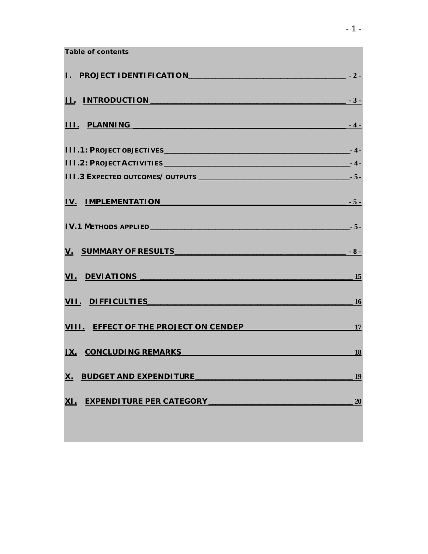| Table of contents                          |                 |
|--------------------------------------------|-----------------|
| I. PROJECT IDENTIFICATION 2.               |                 |
| II. INTRODUCTION 3-                        |                 |
|                                            | $\sim$ $-4$ $-$ |
|                                            |                 |
|                                            |                 |
|                                            |                 |
| <u>IV. IMPLEMENTATION 5-</u>               |                 |
|                                            |                 |
|                                            |                 |
|                                            | $\frac{15}{2}$  |
| VII. DIFFICULTIES <b>WARDEN CONTROL</b>    | $\sim$ 16       |
| VIII. EFFECT OF THE PROJECT ON CENDEP 17   |                 |
| <u>IX. CONCLUDING REMARKS</u> 18           |                 |
| <b>BUDGET AND EXPENDITURE</b><br><u>X.</u> | 19              |
| <b>EXPENDITURE PER CATEGORY</b><br>XI.     | 20              |
|                                            |                 |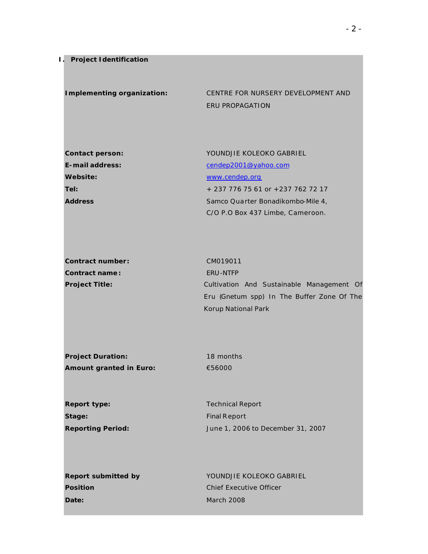**Implementing organization:** CENTRE FOR NURSERY DEVELOPMENT AND ERU PROPAGATION

| <b>Contact person:</b> | YOUNDJIE KOLEOKO GABRIEL          |
|------------------------|-----------------------------------|
| E-mail address:        | cendep2001@yahoo.com              |
| Website:               | www.cendep.org                    |
| Tel:                   | + 237 776 75 61 or +237 762 72 17 |
| <b>Address</b>         | Samco Quarter Bonadikombo-Mile 4, |
|                        | C/O P.O Box 437 Limbe, Cameroon.  |

| Contract number:      | CM019011                                   |
|-----------------------|--------------------------------------------|
| Contract name:        | ERU-NTFP                                   |
| <b>Project Title:</b> | Cultivation And Sustainable Management Of  |
|                       | Eru (Gnetum spp) In The Buffer Zone Of The |

**Project Duration:** 18 months **Amount granted in Euro:** €56000

Korup National Park

**Report type: Technical Report Stage:** Final Report

**Reporting Period:** June 1, 2006 to December 31, 2007

**Position** Chief Executive Officer **Date:** March 2008

**Report submitted by Separate Account Account Account Account Account Account Account Account Account Account Account Account Account Account Account Account Account Account Account Account Account Account Account Account**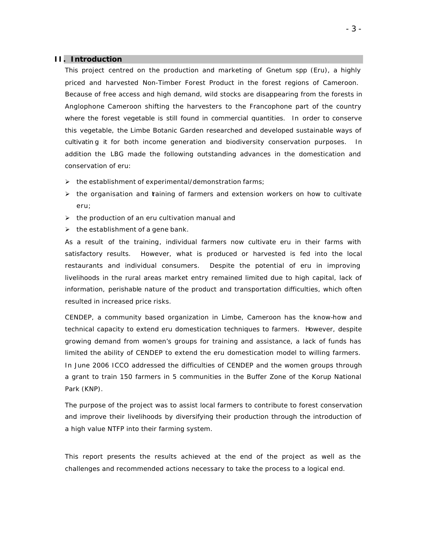## **II. Introduction**

This project centred on the production and marketing of *Gnetum spp* (Eru), a highly priced and harvested Non-Timber Forest Product in the forest regions of Cameroon. Because of free access and high demand, wild stocks are disappearing from the forests in Anglophone Cameroon shifting the harvesters to the Francophone part of the country where the forest vegetable is still found in commercial quantities. In order to conserve this vegetable, the Limbe Botanic Garden researched and developed sustainable ways of cultivatin g it for both income generation and biodiversity conservation purposes. In addition the LBG made the following outstanding advances in the domestication and conservation of eru:

- $\triangleright$  the establishment of experimental/demonstration farms;
- $\triangleright$  the organisation and taining of farmers and extension workers on how to cultivate eru;
- $\triangleright$  the production of an eru cultivation manual and
- $\triangleright$  the establishment of a gene bank.

As a result of the training, individual farmers now cultivate eru in their farms with satisfactory results. However, what is produced or harvested is fed into the local restaurants and individual consumers. Despite the potential of eru in improving livelihoods in the rural areas market entry remained limited due to high capital, lack of information, perishable nature of the product and transportation difficulties, which often resulted in increased price risks.

CENDEP, a community based organization in Limbe, Cameroon has the know-how and technical capacity to extend eru domestication techniques to farmers. However, despite growing demand from women's groups for training and assistance, a lack of funds has limited the ability of CENDEP to extend the eru domestication model to willing farmers. In June 2006 ICCO addressed the difficulties of CENDEP and the women groups through a grant to train 150 farmers in 5 communities in the Buffer Zone of the Korup National Park (KNP).

The purpose of the project was to assist local farmers to contribute to forest conservation and improve their livelihoods by diversifying their production through the introduction of a high value NTFP into their farming system.

This report presents the results achieved at the end of the project as well as the challenges and recommended actions necessary to take the process to a logical end.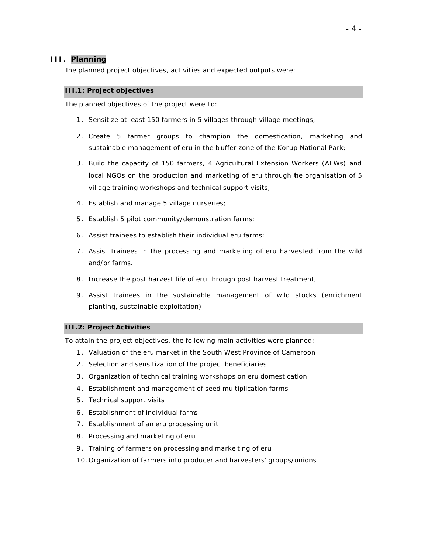## **III. Planning**

The planned project objectives, activities and expected outputs were:

#### **III.1: Project objectives**

The planned objectives of the project were to:

- 1 . Sensitize at least 150 farmers in 5 villages through village meetings;
- 2 . Create 5 farmer groups to champion the domestication, marketing and sustainable management of eru in the b uffer zone of the Korup National Park;
- 3 . Build the capacity of 150 farmers, 4 Agricultural Extension Workers (AEWs) and local NGOs on the production and marketing of eru through the organisation of 5 village training workshops and technical support visits;
- 4. Establish and manage 5 village nurseries;
- 5 . Establish 5 pilot community/demonstration farms;
- 6 . Assist trainees to establish their individual eru farms;
- 7 . Assist trainees in the processing and marketing of eru harvested from the wild and/or farms.
- 8. Increase the post harvest life of eru through post harvest treatment;
- 9 . Assist trainees in the sustainable management of wild stocks (enrichment planting, sustainable exploitation)

## **III.2: Project Activities**

To attain the project objectives, the following main activities were planned:

- 1 . Valuation of the eru market in the South West Province of Cameroon
- 2. Selection and sensitization of the project beneficiaries
- 3 . Organization of technical training workshops on eru domestication
- 4 . Establishment and management of seed multiplication farms
- 5 . Technical support visits
- 6 . Establishment of individual farms
- 7 . Establishment of an eru processing unit
- 8 . Processing and marketing of eru
- 9 . Training of farmers on processing and marke ting of eru
- 10.Organization of farmers into producer and harvesters' groups/unions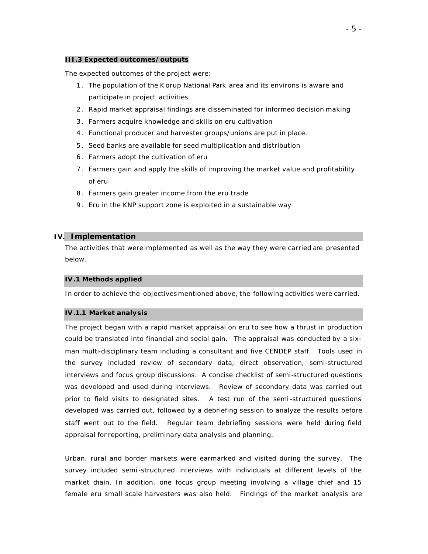#### **III.3 Expected outcomes/outputs**

The expected outcomes of the project were:

- 1 . The population of the K orup National Park area and its environs is aware and participate in project activities
- 2 . Rapid market appraisal findings are disseminated for informed decision making
- 3 . Farmers acquire knowledge and skills on eru cultivation
- 4 . Functional producer and harvester groups/unions are put in place.
- 5 . Seed banks are available for seed multiplication and distribution
- 6 . Farmers adopt the cultivation of eru
- 7 . Farmers gain and apply the skills of improving the market value and profitability of eru
- 8 . Farmers gain greater income from the eru trade
- 9 . Eru in the KNP support zone is exploited in a sustainable way

#### **IV. Implementation**

The activities that were implemented as well as the way they were carried are presented below.

#### **IV.1 Methods applied**

In order to achieve the objectives mentioned above, the following activities were carried.

#### **IV.1.1 Market analysis**

The project began with a rapid market appraisal on eru to see how a thrust in production could be translated into financial and social gain. The appraisal was conducted by a sixman multi-disciplinary team including a consultant and five CENDEP staff. Tools used in the survey included review of secondary data, direct observation, semi-structured interviews and focus group discussions. A concise checklist of semi-structured questions was developed and used during interviews. Review of secondary data was carried out prior to field visits to designated sites. A test run of the semi -structured questions developed was carried out, followed by a debriefing session to analyze the results before staff went out to the field. Regular team debriefing sessions were held during field appraisal for reporting, preliminary data analysis and planning.

Urban, rural and border markets were earmarked and visited during the survey. The survey included semi -structured interviews with individuals at different levels of the market chain. In addition, one focus group meeting involving a village chief and 15 female eru small scale harvesters was also held. Findings of the market analysis are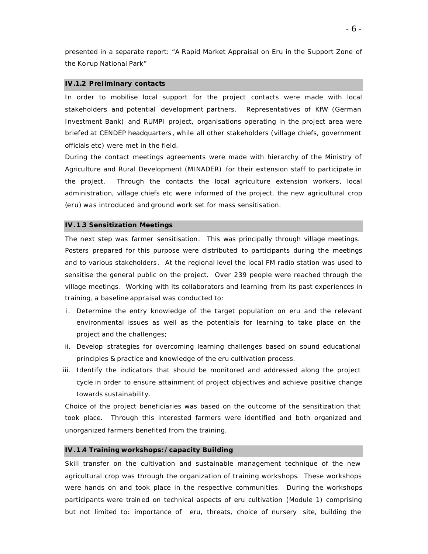presented in a separate report: "A Rapid Market Appraisal on Eru in the Support Zone of the Ko rup National Park"

#### **IV.1.2 Preliminary contacts**

In order to mobilise local support for the project contacts were made with local stakeholders and potential development partners. Representatives of KfW (German Investment Bank) and RUMPI project, organisations operating in the project area were briefed at CENDEP headquarters , while all other stakeholders (village chiefs, government officials etc) were met in the field.

During the contact meetings agreements were made with hierarchy of the Ministry of Agriculture and Rural Development (MINADER) for their extension staff to participate in the project. Through the contacts the local agriculture extension workers, local administration, village chiefs etc were informed of the project, the new agricultural crop (eru) was introduced and ground work set for mass sensitisation.

#### **IV.1.3 Sensitization Meetings**

The next step was farmer sensitisation. This was principally through village meetings. Posters prepared for this purpose were distributed to participants during the meetings and to various stakeholders . At the regional level the local FM radio station was used to sensitise the general public on the project. Over 239 people were reached through the village meetings. Working with its collaborators and learning from its past experiences in training, a baseline appraisal was conducted to:

- i. Determine the entry knowledge of the target population on eru and the relevant environmental issues as well as the potentials for learning to take place on the project and the challenges;
- ii. Develop strategies for overcoming learning challenges based on sound educational principles & practice and knowledge of the eru cultivation process.
- iii. Identify the indicators that should be monitored and addressed along the project cycle in order to ensure attainment of project objectives and achieve positive change towards sustainability.

Choice of the project beneficiaries was based on the outcome of the sensitization that took place. Through this interested farmers were identified and both organized and unorganized farmers benefited from the training.

#### **IV.1.4 Training workshops:/capacity Building**

Skill transfer on the cultivation and sustainable management technique of the new agricultural crop was through the organization of training workshops. These workshops were hands on and took place in the respective communities. During the workshops participants were trained on technical aspects of eru cultivation (Module 1) comprising but not limited to: importance of eru, threats, choice of nursery site, building the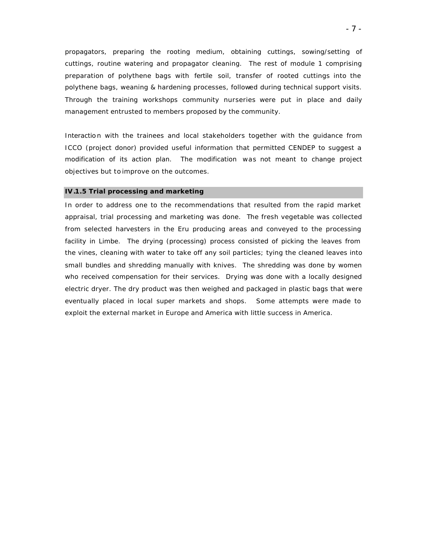propagators, preparing the rooting medium, obtaining cuttings, sowing/setting of cuttings, routine watering and propagator cleaning. The rest of module 1 comprising preparation of polythene bags with fertile soil, transfer of rooted cuttings into the polythene bags, weaning & hardening processes, followed during technical support visits. Through the training workshops community nurseries were put in place and daily management entrusted to members proposed by the community.

Interaction with the trainees and local stakeholders together with the quidance from ICCO (project donor) provided useful information that permitted CENDEP to suggest a modification of its action plan. The modification was not meant to change project objectives but to improve on the outcomes.

#### **IV.1.5 Trial processing and marketing**

In order to address one to the recommendations that resulted from the rapid market appraisal, trial processing and marketing was done. The fresh vegetable was collected from selected harvesters in the Eru producing areas and conveyed to the processing facility in Limbe. The drying (processing) process consisted of picking the leaves from the vines, cleaning with water to take off any soil particles; tying the cleaned leaves into small bundles and shredding manually with knives. The shredding was done by women who received compensation for their services. Drying was done with a locally designed electric dryer. The dry product was then weighed and packaged in plastic bags that were eventually placed in local super markets and shops. Some attempts were made to exploit the external market in Europe and America with little success in America.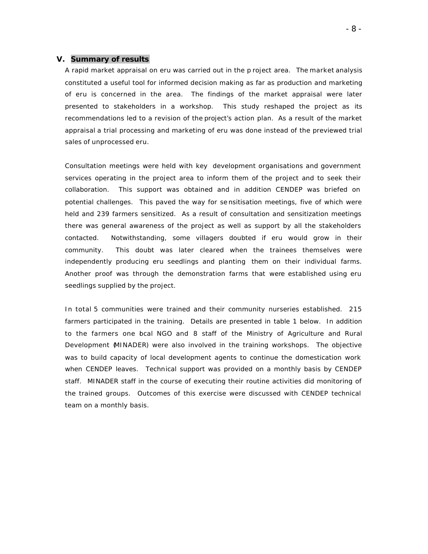## **V. Summary of results**

A rapid market appraisal on eru was carried out in the p roject area. The market analysis constituted a useful tool for informed decision making as far as production and marketing of eru is concerned in the area. The findings of the market appraisal were later presented to stakeholders in a workshop. This study reshaped the project as its recommendations led to a revision of the project's action plan. As a result of the market appraisal a trial processing and marketing of eru was done instead of the previewed trial sales of unprocessed eru.

Consultation meetings were held with key development organisations and government services operating in the project area to inform them of the project and to seek their collaboration. This support was obtained and in addition CENDEP was briefed on potential challenges. This paved the way for se nsitisation meetings, five of which were held and 239 farmers sensitized. As a result of consultation and sensitization meetings there was general awareness of the project as well as support by all the stakeholders contacted. Notwithstanding, some villagers doubted if eru would grow in their community. This doubt was later cleared when the trainees themselves were independently producing eru seedlings and planting them on their individual farms. Another proof was through the demonstration farms that were established using eru seedlings supplied by the project.

In total 5 communities were trained and their community nurseries established. 215 farmers participated in the training. Details are presented in table 1 below. In addition to the farmers one bcal NGO and 8 staff of the Ministry of Agriculture and Rural Development (MINADER) were also involved in the training workshops. The objective was to build capacity of local development agents to continue the domestication work when CENDEP leaves. Technical support was provided on a monthly basis by CENDEP staff. MINADER staff in the course of executing their routine activities did monitoring of the trained groups. Outcomes of this exercise were discussed with CENDEP technical team on a monthly basis.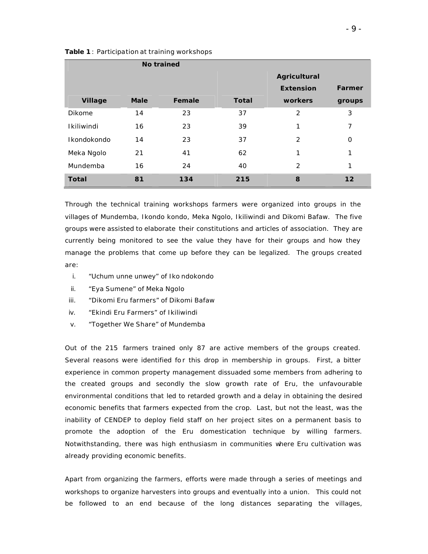|               | No trained  |        |              |                     |                |
|---------------|-------------|--------|--------------|---------------------|----------------|
|               |             |        |              | <b>Agricultural</b> |                |
|               |             |        |              | <b>Extension</b>    | <b>Farmer</b>  |
| Village       | <b>Male</b> | Female | <b>Total</b> | workers             | groups         |
| <b>Dikome</b> | 14          | 23     | 37           | 2                   | 3              |
| Ikiliwindi    | 16          | 23     | 39           | 1                   | $\overline{7}$ |
| Ikondokondo   | 14          | 23     | 37           | $\mathcal{P}$       | $\mathbf 0$    |
| Meka Ngolo    | 21          | 41     | 62           | 1                   | 1              |
| Mundemba      | 16          | 24     | 40           | $\mathcal{P}$       | 1              |
| <b>Total</b>  | 81          | 134    | 215          | 8                   | 12             |

*Table 1* : Participation at training workshops

Through the technical training workshops farmers were organized into groups in the villages of Mundemba, Ikondo kondo, Meka Ngolo, Ikiliwindi and Dikomi Bafaw. The five groups were assisted to elaborate their constitutions and articles of association. They are currently being monitored to see the value they have for their groups and how they manage the problems that come up before they can be legalized. The groups created are:

- i. "Uchum unne unwey" of Iko ndokondo
- ii. "Eya Sumene" of Meka Ngolo
- iii. "Dikomi Eru farmers" of Dikomi Bafaw
- iv. "Ekindi Eru Farmers" of Ikiliwindi
- v. "Together We Share" of Mundemba

Out of the 215 farmers trained only 87 are active members of the groups created. Several reasons were identified for this drop in membership in groups. First, a bitter experience in common property management dissuaded some members from adhering to the created groups and secondly the slow growth rate of Eru, the unfavourable environmental conditions that led to retarded growth and a delay in obtaining the desired economic benefits that farmers expected from the crop. Last, but not the least, was the inability of CENDEP to deploy field staff on her project sites on a permanent basis to promote the adoption of the Eru domestication technique by willing farmers. Notwithstanding, there was high enthusiasm in communities where Eru cultivation was already providing economic benefits.

Apart from organizing the farmers, efforts were made through a series of meetings and workshops to organize harvesters into groups and eventually into a union. This could not be followed to an end because of the long distances separating the villages,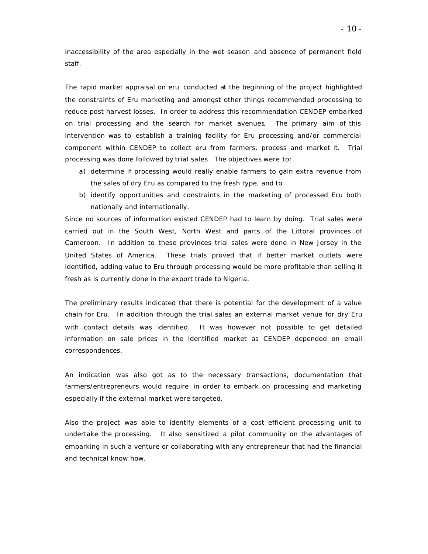inaccessibility of the area especially in the wet season and absence of permanent field staff.

The rapid market appraisal on eru conducted at the beginning of the project highlighted the constraints of Eru marketing and amongst other things recommended processing to reduce post harvest losses. In order to address this recommendation CENDEP emba rked on trial processing and the search for market avenues. The primary aim of this intervention was to establish a training facility for Eru processing and/or commercial component within CENDEP to collect eru from farmers, process and market it. Trial processing was done followed by trial sales. The objectives were to:

- a) determine if processing would really enable farmers to gain extra revenue from the sales of dry Eru as compared to the fresh type, and to
- b) identify opportunities and constraints in the marketing of processed Eru both nationally and internationally.

Since no sources of information existed CENDEP had to learn by doing. Trial sales were carried out in the South West, North West and parts of the Littoral provinces of Cameroon. In addition to these provinces trial sales were done in New Jersey in the United States of America. These trials proved that if better market outlets were identified, adding value to Eru through processing would be more profitable than selling it fresh as is currently done in the export trade to Nigeria.

The preliminary results indicated that there is potential for the development of a value chain for Eru. In addition through the trial sales an external market venue for dry Eru with contact details was identified. It was however not possible to get detailed information on sale prices in the identified market as CENDEP depended on email correspondences.

An indication was also got as to the necessary transactions, documentation that farmers/entrepreneurs would require in order to embark on processing and marketing especially if the external market were targeted.

Also the project was able to identify elements of a cost efficient processing unit to undertake the processing. It also sensitized a pilot community on the advantages of embarking in such a venture or collaborating with any entrepreneur that had the financial and technical know how.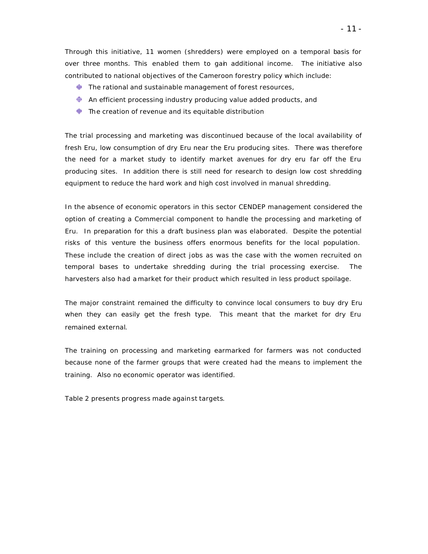Through this initiative, 11 women (shredders) were employed on a temporal basis for over three months. This enabled them to gan additional income. The initiative also contributed to national objectives of the Cameroon forestry policy which include:

- $\bigoplus$  The rational and sustainable management of forest resources,
- $\bigoplus$  An efficient processing industry producing value added products, and
- $\bigoplus$  The creation of revenue and its equitable distribution

The trial processing and marketing was discontinued because of the local availability of fresh Eru, low consumption of dry Eru near the Eru producing sites. There was therefore the need for a market study to identify market avenues for dry eru far off the Eru producing sites. In addition there is still need for research to design low cost shredding equipment to reduce the hard work and high cost involved in manual shredding.

In the absence of economic operators in this sector CENDEP management considered the option of creating a Commercial component to handle the processing and marketing of Eru. In preparation for this a draft business plan was elaborated. Despite the potential risks of this venture the business offers enormous benefits for the local population. These include the creation of direct jobs as was the case with the women recruited on temporal bases to undertake shredding during the trial processing exercise. The harvesters also had a market for their product which resulted in less product spoilage.

The major constraint remained the difficulty to convince local consumers to buy dry Eru when they can easily get the fresh type. This meant that the market for dry Eru remained external.

The training on processing and marketing earmarked for farmers was not conducted because none of the farmer groups that were created had the means to implement the training. Also no economic operator was identified.

Table 2 presents progress made against targets.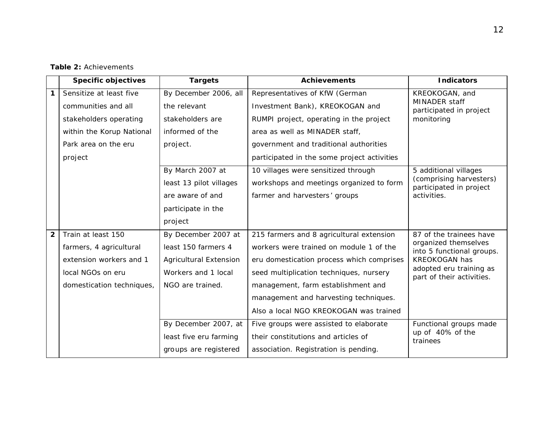**Table 2:** Achievements

|                         | <b>Specific objectives</b> | <b>Targets</b>                                          | <b>Achievements</b>                         | <b>Indicators</b>                                          |  |
|-------------------------|----------------------------|---------------------------------------------------------|---------------------------------------------|------------------------------------------------------------|--|
| 1                       | Sensitize at least five    | By December 2006, all                                   | Representatives of KfW (German              | KREOKOGAN, and<br>MINADER staff<br>participated in project |  |
|                         | communities and all        | the relevant                                            | Investment Bank), KREOKOGAN and             |                                                            |  |
|                         | stakeholders operating     | stakeholders are                                        | RUMPI project, operating in the project     | monitoring                                                 |  |
|                         | within the Korup National  | informed of the                                         | area as well as MINADER staff,              |                                                            |  |
|                         | Park area on the eru       | project.                                                | government and traditional authorities      |                                                            |  |
|                         | project                    |                                                         | participated in the some project activities |                                                            |  |
|                         |                            | By March 2007 at<br>10 villages were sensitized through |                                             | 5 additional villages                                      |  |
|                         |                            | least 13 pilot villages                                 | workshops and meetings organized to form    | (comprising harvesters)<br>participated in project         |  |
|                         |                            | are aware of and                                        | farmer and harvesters' groups               | activities.                                                |  |
|                         |                            | participate in the                                      |                                             |                                                            |  |
|                         |                            | project                                                 |                                             |                                                            |  |
| $\overline{\mathbf{2}}$ | Train at least 150         | By December 2007 at                                     | 215 farmers and 8 agricultural extension    | 87 of the trainees have                                    |  |
|                         | farmers, 4 agricultural    | least 150 farmers 4                                     | workers were trained on module 1 of the     | organized themselves<br>into 5 functional groups.          |  |
|                         | extension workers and 1    | <b>Agricultural Extension</b>                           | eru domestication process which comprises   | <b>KREOKOGAN has</b>                                       |  |
|                         | local NGOs on eru          | Workers and 1 local                                     | seed multiplication techniques, nursery     | adopted eru training as<br>part of their activities.       |  |
|                         | domestication techniques,  | NGO are trained.                                        | management, farm establishment and          |                                                            |  |
|                         |                            | management and harvesting techniques.                   |                                             |                                                            |  |
|                         |                            |                                                         | Also a local NGO KREOKOGAN was trained      |                                                            |  |
|                         |                            | By December 2007, at                                    | Five groups were assisted to elaborate      | Functional groups made                                     |  |
|                         |                            | least five eru farming                                  | their constitutions and articles of         | up of 40% of the<br>trainees                               |  |
|                         | groups are registered      |                                                         | association. Registration is pending.       |                                                            |  |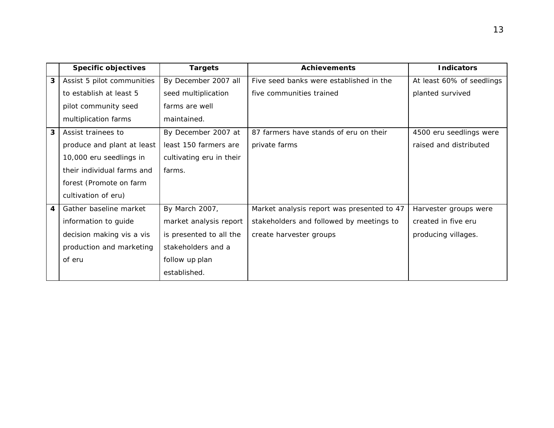|   | <b>Specific objectives</b>                           | <b>Targets</b>           | <b>Achievements</b>                        | <b>Indicators</b>         |
|---|------------------------------------------------------|--------------------------|--------------------------------------------|---------------------------|
| 3 | Assist 5 pilot communities                           | By December 2007 all     | Five seed banks were established in the    | At least 60% of seedlings |
|   | to establish at least 5                              | seed multiplication      | five communities trained                   | planted survived          |
|   | pilot community seed                                 | farms are well           |                                            |                           |
|   | multiplication farms                                 | maintained.              |                                            |                           |
| 3 | Assist trainees to                                   | By December 2007 at      | 87 farmers have stands of eru on their     | 4500 eru seedlings were   |
|   | produce and plant at least                           | least 150 farmers are    | private farms                              | raised and distributed    |
|   | 10,000 eru seedlings in                              | cultivating eru in their |                                            |                           |
|   | their individual farms and                           | farms.                   |                                            |                           |
|   | forest (Promote on farm                              |                          |                                            |                           |
|   | cultivation of eru)                                  |                          |                                            |                           |
| 4 | Gather baseline market                               | By March 2007,           | Market analysis report was presented to 47 | Harvester groups were     |
|   | information to guide                                 | market analysis report   | stakeholders and followed by meetings to   | created in five eru       |
|   | decision making vis a vis<br>is presented to all the |                          | create harvester groups                    | producing villages.       |
|   | production and marketing                             | stakeholders and a       |                                            |                           |
|   | of eru                                               | follow up plan           |                                            |                           |
|   |                                                      | established.             |                                            |                           |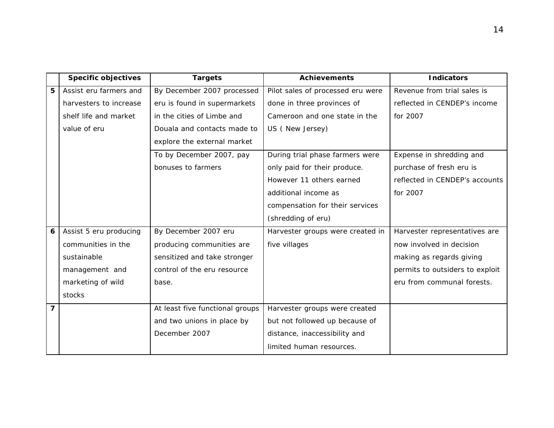|   | <b>Specific objectives</b> | <b>Targets</b>                  | <b>Achievements</b>               | <b>Indicators</b>               |
|---|----------------------------|---------------------------------|-----------------------------------|---------------------------------|
| 5 | Assist eru farmers and     | By December 2007 processed      | Pilot sales of processed eru were | Revenue from trial sales is     |
|   | harvesters to increase     | eru is found in supermarkets    | done in three provinces of        | reflected in CENDEP's income    |
|   | shelf life and market      | in the cities of Limbe and      | Cameroon and one state in the     | for 2007                        |
|   | value of eru               | Douala and contacts made to     | US (New Jersey)                   |                                 |
|   |                            | explore the external market     |                                   |                                 |
|   |                            | To by December 2007, pay        | During trial phase farmers were   | Expense in shredding and        |
|   |                            | bonuses to farmers              | only paid for their produce.      | purchase of fresh eru is        |
|   |                            |                                 | However 11 others earned          | reflected in CENDEP's accounts  |
|   |                            |                                 | additional income as              | for 2007                        |
|   |                            |                                 | compensation for their services   |                                 |
|   |                            |                                 | (shredding of eru)                |                                 |
| 6 | Assist 5 eru producing     | By December 2007 eru            | Harvester groups were created in  | Harvester representatives are   |
|   | communities in the         | producing communities are       | five villages                     | now involved in decision        |
|   | sustainable                | sensitized and take stronger    |                                   | making as regards giving        |
|   | management and             | control of the eru resource     |                                   | permits to outsiders to exploit |
|   | marketing of wild          | base.                           |                                   | eru from communal forests.      |
|   | stocks                     |                                 |                                   |                                 |
| 7 |                            | At least five functional groups | Harvester groups were created     |                                 |
|   |                            | and two unions in place by      | but not followed up because of    |                                 |
|   |                            | December 2007                   | distance, inaccessibility and     |                                 |
|   |                            |                                 | limited human resources.          |                                 |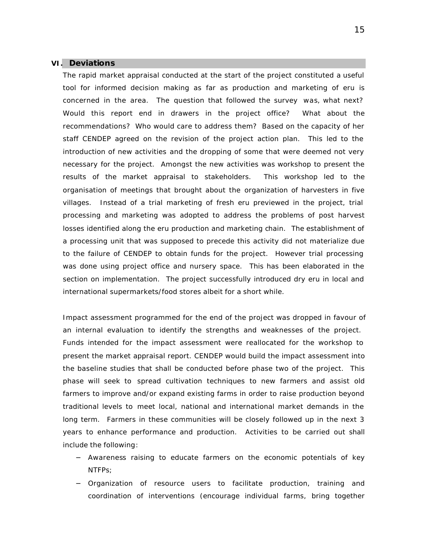## **VI. Deviations**

The rapid market appraisal conducted at the start of the project constituted a useful tool for informed decision making as far as production and marketing of eru is concerned in the area. The question that followed the survey was, what next? Would this report end in drawers in the project office? What about the recommendations? Who would care to address them? Based on the capacity of her staff CENDEP agreed on the revision of the project action plan. This led to the introduction of new activities and the dropping of some that were deemed not very necessary for the project. Amongst the new activities was workshop to present the results of the market appraisal to stakeholders. This workshop led to the organisation of meetings that brought about the organization of harvesters in five villages. Instead of a trial marketing of fresh eru previewed in the project, trial processing and marketing was adopted to address the problems of post harvest losses identified along the eru production and marketing chain. The establishment of a processing unit that was supposed to precede this activity did not materialize due to the failure of CENDEP to obtain funds for the project. However trial processing was done using project office and nursery space. This has been elaborated in the section on implementation. The project successfully introduced dry eru in local and international supermarkets/food stores albeit for a short while.

Impact assessment programmed for the end of the project was dropped in favour of an internal evaluation to identify the strengths and weaknesses of the project. Funds intended for the impact assessment were reallocated for the workshop to present the market appraisal report. CENDEP would build the impact assessment into the baseline studies that shall be conducted before phase two of the project. This phase will seek to spread cultivation techniques to new farmers and assist old farmers to improve and/or expand existing farms in order to raise production beyond traditional levels to meet local, national and international market demands in the long term. Farmers in these communities will be closely followed up in the next 3 years to enhance performance and production. Activities to be carried out shall include the following:

- − Awareness raising to educate farmers on the economic potentials of key NTFPs;
- − Organization of resource users to facilitate production, training and coordination of interventions (encourage individual farms, bring together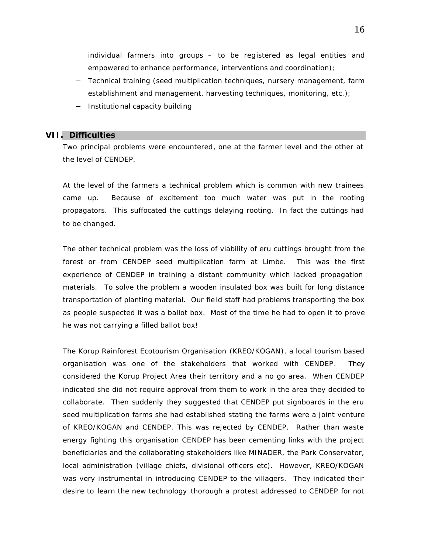individual farmers into groups – to be registered as legal entities and empowered to enhance performance, interventions and coordination);

- − Technical training (seed multiplication techniques, nursery management, farm establishment and management, harvesting techniques, monitoring, etc.);
- − Institutional capacity building

## **VII. Difficulties**

Two principal problems were encountered, one at the farmer level and the other at the level of CENDEP.

At the level of the farmers a technical problem which is common with new trainees came up. Because of excitement too much water was put in the rooting propagators. This suffocated the cuttings delaying rooting. In fact the cuttings had to be changed.

The other technical problem was the loss of viability of eru cuttings brought from the forest or from CENDEP seed multiplication farm at Limbe. This was the first experience of CENDEP in training a distant community which lacked propagation materials. To solve the problem a wooden insulated box was built for long distance transportation of planting material. Our fie ld staff had problems transporting the box as people suspected it was a ballot box. Most of the time he had to open it to prove he was not carrying a filled ballot box!

The Korup Rainforest Ecotourism Organisation (KREO/KOGAN), a local tourism based organisation was one of the stakeholders that worked with CENDEP. They considered the Korup Project Area their territory and a no go area. When CENDEP indicated she did not require approval from them to work in the area they decided to collaborate. Then suddenly they suggested that CENDEP put signboards in the eru seed multiplication farms she had established stating the farms were a joint venture of KREO/KOGAN and CENDEP. This was rejected by CENDEP. Rather than waste energy fighting this organisation CENDEP has been cementing links with the project beneficiaries and the collaborating stakeholders like MINADER, the Park Conservator, local administration (village chiefs, divisional officers etc). However, KREO/KOGAN was very instrumental in introducing CENDEP to the villagers. They indicated their desire to learn the new technology thorough a protest addressed to CENDEP for not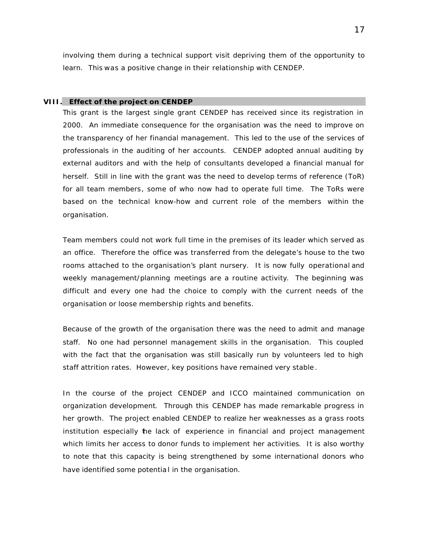involving them during a technical support visit depriving them of the opportunity to learn. This was a positive change in their relationship with CENDEP.

#### **VIII. Effect of the project on CENDEP**

This grant is the largest single grant CENDEP has received since its registration in 2000. An immediate consequence for the organisation was the need to improve on the transparency of her financial management. This led to the use of the services of professionals in the auditing of her accounts. CENDEP adopted annual auditing by external auditors and with the help of consultants developed a financial manual for herself. Still in line with the grant was the need to develop terms of reference (ToR) for all team members, some of who now had to operate full time. The ToRs were based on the technical know-how and current role of the members within the organisation.

Team members could not work full time in the premises of its leader which served as an office. Therefore the office was transferred from the delegate's house to the two rooms attached to the organisation's plant nursery. It is now fully operational and weekly management/planning meetings are a routine activity. The beginning was difficult and every one had the choice to comply with the current needs of the organisation or loose membership rights and benefits.

Because of the growth of the organisation there was the need to admit and manage staff. No one had personnel management skills in the organisation. This coupled with the fact that the organisation was still basically run by volunteers led to high staff attrition rates. However, key positions have remained very stable .

In the course of the project CENDEP and ICCO maintained communication on organization development. Through this CENDEP has made remarkable progress in her growth. The project enabled CENDEP to realize her weaknesses as a grass roots institution especially the lack of experience in financial and project management which limits her access to donor funds to implement her activities. It is also worthy to note that this capacity is being strengthened by some international donors who have identified some potentia l in the organisation.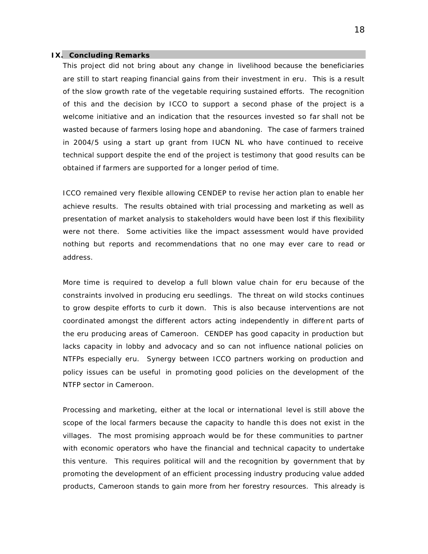#### **IX. Concluding Remarks**

This project did not bring about any change in livelihood because the beneficiaries are still to start reaping financial gains from their investment in eru. This is a result of the slow growth rate of the vegetable requiring sustained efforts. The recognition of this and the decision by ICCO to support a second phase of the project is a welcome initiative and an indication that the resources invested so far shall not be wasted because of farmers losing hope and abandoning. The case of farmers trained in 2004/5 using a start up grant from IUCN NL who have continued to receive technical support despite the end of the project is testimony that good results can be obtained if farmers are supported for a longer period of time.

ICCO remained very flexible allowing CENDEP to revise her action plan to enable her achieve results. The results obtained with trial processing and marketing as well as presentation of market analysis to stakeholders would have been lost if this flexibility were not there. Some activities like the impact assessment would have provided nothing but reports and recommendations that no one may ever care to read or address.

More time is required to develop a full blown value chain for eru because of the constraints involved in producing eru seedlings. The threat on wild stocks continues to grow despite efforts to curb it down. This is also because interventions are not coordinated amongst the different actors acting independently in differe nt parts of the eru producing areas of Cameroon. CENDEP has good capacity in production but lacks capacity in lobby and advocacy and so can not influence national policies on NTFPs especially eru. Synergy between ICCO partners working on production and policy issues can be useful in promoting good policies on the development of the NTFP sector in Cameroon.

Processing and marketing, either at the local or international level is still above the scope of the local farmers because the capacity to handle this does not exist in the villages. The most promising approach would be for these communities to partner with economic operators who have the financial and technical capacity to undertake this venture. This requires political will and the recognition by government that by promoting the development of an efficient processing industry producing value added products, Cameroon stands to gain more from her forestry resources. This already is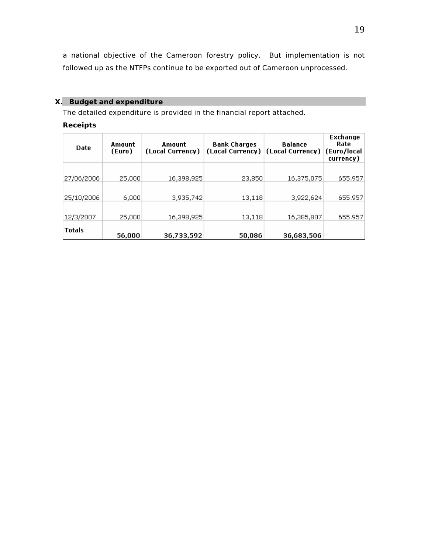a national objective of the Cameroon forestry policy. But implementation is not followed up as the NTFPs continue to be exported out of Cameroon unprocessed.

## **X. Budget and expenditure**

The detailed expenditure is provided in the financial report attached.

## **Receipts**

| <b>Date</b>   | Amount<br>(Euro) | Amount<br>(Local Currency) | <b>Bank Charges</b><br>(Local Current) | Balance<br>(Local Currency) | Exchange<br>Rate<br>(Euro/local<br>currency) |
|---------------|------------------|----------------------------|----------------------------------------|-----------------------------|----------------------------------------------|
|               |                  |                            |                                        |                             |                                              |
| 27/06/2006    | 25,000           | 16,398,925                 | 23,850                                 | 16,375,075                  | 655.957                                      |
|               |                  |                            |                                        |                             |                                              |
| 25/10/2006    | 6,000            | 3,935,742                  | 13,118                                 | 3,922,624                   | 655.957                                      |
|               |                  |                            |                                        |                             |                                              |
| 12/3/2007     | 25,000           | 16,398,925                 | 13,118                                 | 16,385,807                  | 655.957                                      |
| <b>Totals</b> | 56,000           | 36,733,592                 | 50,086                                 | 36,683,506                  |                                              |